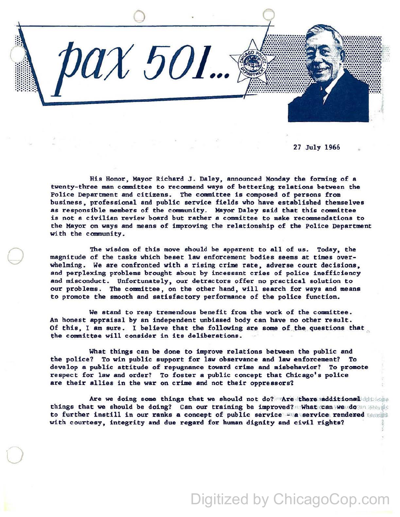

27 July 1966

His Honor, Mayor Richard J. Daley, announced Monday the forming of a twenty-three man committee to recomnend ways of bettering relations between the Police Department and citizens. The committee is composed of persons from business, professional and public service fields who have established themselves as responsible members of the comnunity. Mayor Daley said that this committee is not a civilian review board but rather a committee to make recommendations to the Mayor on ways and means of improving the relationship of the Police Department with the community.

The wisdom of this move should be apparent to all of us. Today, the magnitude of the tasks which beset law enforcement bodies seems at times overwhelming. We are confronted with a rising crime rate, adverse court decisions, and perplexing problems brought about by incessant cries of police inefficiency and misconduct. Unfortunately, our detractors offer no practical solution to our problems. The committee, on the other hand, will search for ways and means to promote the smooth and satisfactory performance of the police function.

 $\bigcirc$ 

·o

We stand to reap tremendous benefit from the work of the committee. An honest appraisal by an independent unbiased body can have no other result. Of this, I am sure. I believe that the following are some of the questions that the committee will consider in its deliberations.

What things can be done to improve relations between the public and the police? To win public support for law observance and law enforcement? To develop a public attitude of repugnance toward crime and misbehavior? To promote respect for law and order? To foster a public concept that Chicago's police are their allies in the war on crime and not their oppressors?

Are we doing some things that we should not do? Are there additional demonstration things that we should be doing? Can our training be improved? What can we do an inside to further instill in our ranks a concept of public service  $\sim$  a service rendered  $\sim$ with courtesy, integrity and due regard for human dignity and civil rights?

## Digitized by ChicagoCop.com